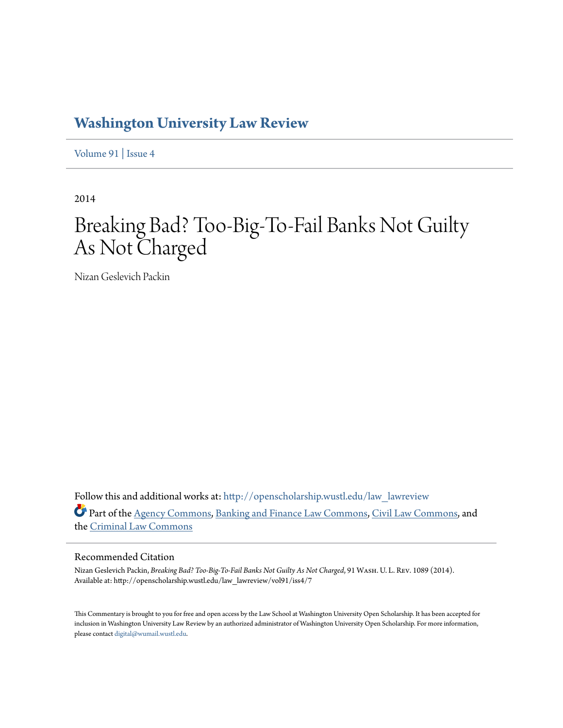## **[Washington University Law Review](http://openscholarship.wustl.edu/law_lawreview?utm_source=openscholarship.wustl.edu%2Flaw_lawreview%2Fvol91%2Fiss4%2F7&utm_medium=PDF&utm_campaign=PDFCoverPages)**

[Volume 91](http://openscholarship.wustl.edu/law_lawreview/vol91?utm_source=openscholarship.wustl.edu%2Flaw_lawreview%2Fvol91%2Fiss4%2F7&utm_medium=PDF&utm_campaign=PDFCoverPages) | [Issue 4](http://openscholarship.wustl.edu/law_lawreview/vol91/iss4?utm_source=openscholarship.wustl.edu%2Flaw_lawreview%2Fvol91%2Fiss4%2F7&utm_medium=PDF&utm_campaign=PDFCoverPages)

2014

# Breaking Bad? Too-Big-To-Fail Banks Not Guilty As Not Charged

Nizan Geslevich Packin

Follow this and additional works at: [http://openscholarship.wustl.edu/law\\_lawreview](http://openscholarship.wustl.edu/law_lawreview?utm_source=openscholarship.wustl.edu%2Flaw_lawreview%2Fvol91%2Fiss4%2F7&utm_medium=PDF&utm_campaign=PDFCoverPages) Part of the [Agency Commons,](http://network.bepress.com/hgg/discipline/829?utm_source=openscholarship.wustl.edu%2Flaw_lawreview%2Fvol91%2Fiss4%2F7&utm_medium=PDF&utm_campaign=PDFCoverPages) [Banking and Finance Law Commons,](http://network.bepress.com/hgg/discipline/833?utm_source=openscholarship.wustl.edu%2Flaw_lawreview%2Fvol91%2Fiss4%2F7&utm_medium=PDF&utm_campaign=PDFCoverPages) [Civil Law Commons,](http://network.bepress.com/hgg/discipline/835?utm_source=openscholarship.wustl.edu%2Flaw_lawreview%2Fvol91%2Fiss4%2F7&utm_medium=PDF&utm_campaign=PDFCoverPages) and the [Criminal Law Commons](http://network.bepress.com/hgg/discipline/912?utm_source=openscholarship.wustl.edu%2Flaw_lawreview%2Fvol91%2Fiss4%2F7&utm_medium=PDF&utm_campaign=PDFCoverPages)

#### Recommended Citation

Nizan Geslevich Packin, *Breaking Bad? Too-Big-To-Fail Banks Not Guilty As Not Charged*, 91 Wash. U. L. Rev. 1089 (2014). Available at: http://openscholarship.wustl.edu/law\_lawreview/vol91/iss4/7

This Commentary is brought to you for free and open access by the Law School at Washington University Open Scholarship. It has been accepted for inclusion in Washington University Law Review by an authorized administrator of Washington University Open Scholarship. For more information, please contact [digital@wumail.wustl.edu.](mailto:digital@wumail.wustl.edu)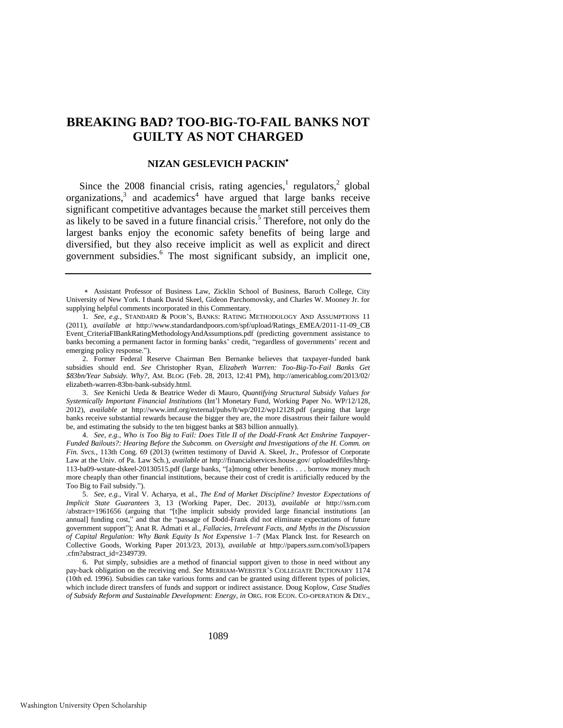### **BREAKING BAD? TOO-BIG-TO-FAIL BANKS NOT GUILTY AS NOT CHARGED**

#### **NIZAN GESLEVICH PACKIN**

Since the 2008 financial crisis, rating agencies, regulators,  $2$  global organizations, $3$  and academics<sup>4</sup> have argued that large banks receive significant competitive advantages because the market still perceives them as likely to be saved in a future financial crisis.<sup>5</sup> Therefore, not only do the largest banks enjoy the economic safety benefits of being large and diversified, but they also receive implicit as well as explicit and direct government subsidies.<sup>6</sup> The most significant subsidy, an implicit one,

Assistant Professor of Business Law, Zicklin School of Business, Baruch College, City University of New York. I thank David Skeel, Gideon Parchomovsky, and Charles W. Mooney Jr. for supplying helpful comments incorporated in this Commentary.

<sup>1.</sup> *See, e.g.*, STANDARD & POOR'S, BANKS: RATING METHODOLOGY AND ASSUMPTIONS 11 (2011), *available at* http://www.standardandpoors.com/spf/upload/Ratings\_EMEA/2011-11-09\_CB Event\_CriteriaFIBankRatingMethodologyAndAssumptions.pdf (predicting government assistance to banks becoming a permanent factor in forming banks' credit, "regardless of governments' recent and emerging policy response.").

<sup>2.</sup> Former Federal Reserve Chairman Ben Bernanke believes that taxpayer-funded bank subsidies should end. *See* Christopher Ryan, *Elizabeth Warren: Too-Big-To-Fail Banks Get \$83bn/Year Subsidy. Why?*, AM. BLOG (Feb. 28, 2013, 12:41 PM), http://americablog.com/2013/02/ elizabeth-warren-83bn-bank-subsidy.html.

<sup>3.</sup> *See* Kenichi Ueda & Beatrice Weder di Mauro, *Quantifying Structural Subsidy Values for Systemically Important Financial Institutions* (Int'l Monetary Fund, Working Paper No. WP/12/128, 2012), *available at* http://www.imf.org/external/pubs/ft/wp/2012/wp12128.pdf (arguing that large banks receive substantial rewards because the bigger they are, the more disastrous their failure would be, and estimating the subsidy to the ten biggest banks at \$83 billion annually).

<sup>4.</sup> *See, e.g.*, *Who is Too Big to Fail: Does Title II of the Dodd-Frank Act Enshrine Taxpayer-Funded Bailouts?: Hearing Before the Subcomm. on Oversight and Investigations of the H. Comm. on Fin. Svcs.*, 113th Cong. 69 (2013) (written testimony of David A. Skeel, Jr., Professor of Corporate Law at the Univ. of Pa. Law Sch.), *available at* http://financialservices.house.gov/ uploadedfiles/hhrg-113-ba09-wstate-dskeel-20130515.pdf (large banks, "[a]mong other benefits . . . borrow money much more cheaply than other financial institutions, because their cost of credit is artificially reduced by the Too Big to Fail subsidy.").

<sup>5.</sup> *See, e.g.*, Viral V. Acharya, et al., *The End of Market Discipline? Investor Expectations of Implicit State Guarantees* 3, 13 (Working Paper, Dec. 2013), *available at* http://ssrn.com /abstract=1961656 (arguing that "[t]he implicit subsidy provided large financial institutions [an annual] funding cost," and that the "passage of Dodd-Frank did not eliminate expectations of future government support"); Anat R. Admati et al., *Fallacies, Irrelevant Facts, and Myths in the Discussion of Capital Regulation: Why Bank Equity Is Not Expensive* 1–7 (Max Planck Inst. for Research on Collective Goods, Working Paper 2013/23, 2013), *available at* http://papers.ssrn.com/sol3/papers .cfm?abstract\_id=2349739.

<sup>6.</sup> Put simply, subsidies are a method of financial support given to those in need without any pay-back obligation on the receiving end. *See* MERRIAM-WEBSTER'S COLLEGIATE DICTIONARY 1174 (10th ed. 1996). Subsidies can take various forms and can be granted using different types of policies, which include direct transfers of funds and support or indirect assistance. Doug Koplow, *Case Studies of Subsidy Reform and Sustainable Development: Energy*, *in* ORG. FOR ECON. CO-OPERATION & DEV.,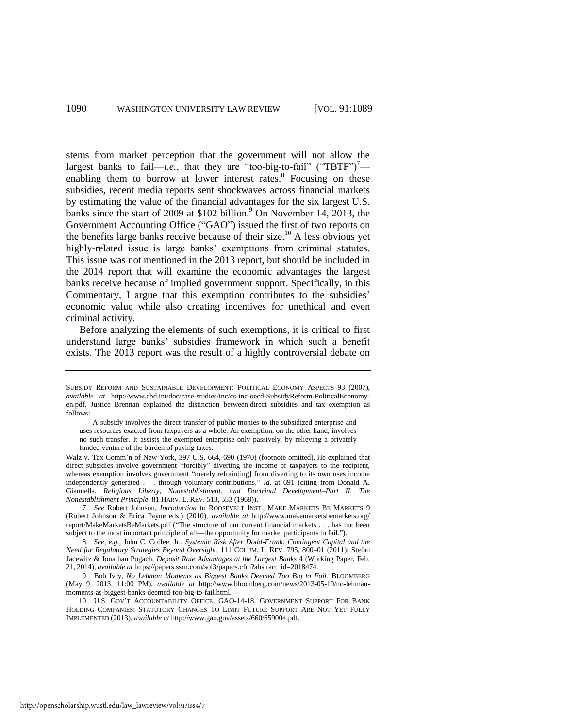stems from market perception that the government will not allow the largest banks to fail—*i.e.*, that they are "too-big-to-fail" ("TBTF")<sup>7</sup> enabling them to borrow at lower interest rates.<sup>8</sup> Focusing on these subsidies, recent media reports sent shockwaves across financial markets by estimating the value of the financial advantages for the six largest U.S. banks since the start of 2009 at \$102 billion.<sup>9</sup> On November 14, 2013, the Government Accounting Office ("GAO") issued the first of two reports on the benefits large banks receive because of their size.<sup>10</sup> A less obvious yet highly-related issue is large banks' exemptions from criminal statutes. This issue was not mentioned in the 2013 report, but should be included in the 2014 report that will examine the economic advantages the largest banks receive because of implied government support. Specifically, in this Commentary, I argue that this exemption contributes to the subsidies' economic value while also creating incentives for unethical and even criminal activity.

Before analyzing the elements of such exemptions, it is critical to first understand large banks' subsidies framework in which such a benefit exists. The 2013 report was the result of a highly controversial debate on

Walz v. Tax Comm'n of New York, 397 U.S. 664, 690 (1970) (footnote omitted). He explained that direct subsidies involve government "forcibly" diverting the income of taxpayers to the recipient, whereas exemption involves government "merely refrain[ing] from diverting to its own uses income independently generated . . . through voluntary contributions." *Id.* at 691 (citing from Donald A. Giannella, *Religious Liberty, Nonestablishment, and Doctrinal Development–Part II. The Nonestablishment Principle*, 81 HARV. L. REV. 513, 553 (1968)).

7. *See* Robert Johnson, *Introduction* to ROOSEVELT INST., MAKE MARKETS BE MARKETS 9 (Robert Johnson & Erica Payne eds.) (2010), *available at* http://www.makemarketsbemarkets.org/ report/MakeMarketsBeMarkets.pdf ("The structure of our current financial markets . . . has not been subject to the most important principle of all—the opportunity for market participants to fail.").

8. *See, e.g.*, John C. Coffee, Jr., *Systemic Risk After Dodd-Frank: Contingent Capital and the Need for Regulatory Strategies Beyond Oversight*, 111 COLUM. L. REV. 795, 800–01 (2011); Stefan Jacewitz & Jonathan Pogach, *Deposit Rate Advantages at the Largest Banks* 4 (Working Paper, Feb. 21, 2014), *available at* https://papers.ssrn.com/sol3/papers.cfm?abstract\_id=2018474.

9. Bob Ivry, *No Lehman Moments as Biggest Banks Deemed Too Big to Fail*, BLOOMBERG (May 9, 2013, 11:00 PM), *available at* http://www.bloomberg.com/news/2013-05-10/no-lehmanmoments-as-biggest-banks-deemed-too-big-to-fail.html.

10. U.S. GOV'T ACCOUNTABILITY OFFICE, GAO-14-18, GOVERNMENT SUPPORT FOR BANK HOLDING COMPANIES: STATUTORY CHANGES TO LIMIT FUTURE SUPPORT ARE NOT YET FULLY IMPLEMENTED (2013), *available at* http://www.gao.gov/assets/660/659004.pdf.

SUBSIDY REFORM AND SUSTAINABLE DEVELOPMENT: POLITICAL ECONOMY ASPECTS 93 (2007), *available at* http://www.cbd.int/doc/case-studies/inc/cs-inc-oecd-SubsidyReform-PoliticalEconomyen.pdf. Justice Brennan explained the distinction between direct subsidies and tax exemption as follows:

A subsidy involves the direct transfer of public monies to the subsidized enterprise and uses resources exacted from taxpayers as a whole. An exemption, on the other hand, involves no such transfer. It assists the exempted enterprise only passively, by relieving a privately funded venture of the burden of paying taxes.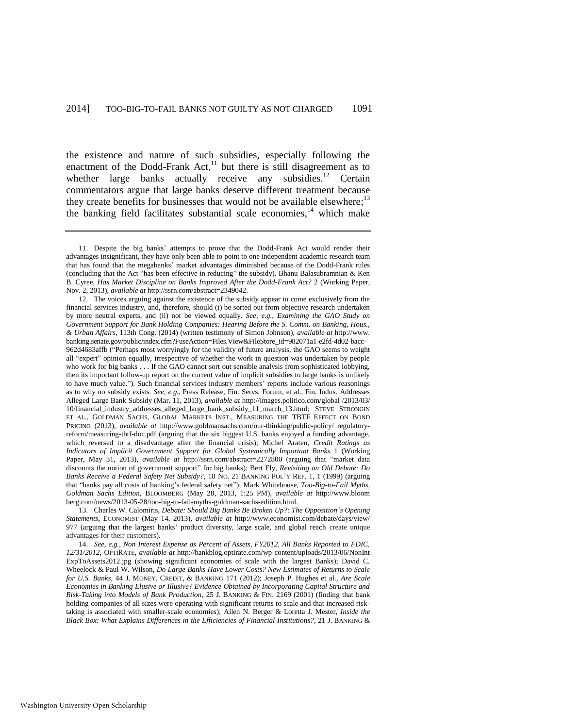the existence and nature of such subsidies, especially following the enactment of the Dodd-Frank  $Act<sub>11</sub><sup>11</sup>$  but there is still disagreement as to whether large banks actually receive any subsidies.<sup>12</sup> Certain commentators argue that large banks deserve different treatment because they create benefits for businesses that would not be available elsewhere;<sup>13</sup> the banking field facilitates substantial scale economies, $14$  which make

13. Charles W. Calomiris, *Debate: Should Big Banks Be Broken Up?: The Opposition's Opening Statements*, ECONOMIST (May 14, 2013), *available at* http://www.economist.com/debate/days/view/ 977 (arguing that the largest banks' product diversity, large scale, and global reach create unique advantages for their customers).

14. *See, e.g.*, *Non Interest Expense as Percent of Assets, FY2012, All Banks Reported to FDIC, 12/31/2012*, OPTIRATE, *available at* http://bankblog.optirate.com/wp-content/uploads/2013/06/NonInt ExpToAssets2012.jpg (showing significant economies of scale with the largest Banks); David C. Wheelock & Paul W. Wilson, *Do Large Banks Have Lower Costs? New Estimates of Returns to Scale for U.S. Banks*, 44 J. MONEY, CREDIT, & BANKING 171 (2012); Joseph P. Hughes et al., *Are Scale Economies in Banking Elusive or Illusive? Evidence Obtained by Incorporating Capital Structure and Risk-Taking into Models of Bank Production*, 25 J. BANKING & FIN. 2169 (2001) (finding that bank holding companies of all sizes were operating with significant returns to scale and that increased risktaking is associated with smaller-scale economies); Allen N. Berger & Loretta J. Mester, *Inside the Black Box: What Explains Differences in the Efficiencies of Financial Institutions?*, 21 J. BANKING &

<sup>11.</sup> Despite the big banks' attempts to prove that the Dodd-Frank Act would render their advantages insignificant, they have only been able to point to one independent academic research team that has found that the megabanks' market advantages diminished because of the Dodd-Frank rules (concluding that the Act "has been effective in reducing" the subsidy). Bhanu Balasubramnian & Ken B. Cyree, *Has Market Discipline on Banks Improved After the Dodd-Frank Act?* 2 (Working Paper, Nov. 2, 2013), *available at* http://ssrn.com/abstract=2349042.

<sup>12.</sup> The voices arguing against the existence of the subsidy appear to come exclusively from the financial services industry, and, therefore, should (i) be sorted out from objective research undertaken by more neutral experts, and (ii) not be viewed equally. *See, e.g.*, *Examining the GAO Study on Government Support for Bank Holding Companies: Hearing Before the S. Comm. on Banking, Hous., & Urban Affairs*, 113th Cong. (2014) (written testimony of Simon Johnson), *available at* http://www. banking.senate.gov/public/index.cfm?FuseAction=Files.View&FileStore\_id=982071a1-e2fd-4d02-bacc-962d4683affb ("Perhaps most worryingly for the validity of future analysis, the GAO seems to weight all "expert" opinion equally, irrespective of whether the work in question was undertaken by people who work for big banks . . . If the GAO cannot sort out sensible analysis from sophisticated lobbying, then its important follow-up report on the current value of implicit subsidies to large banks is unlikely to have much value."). Such financial services industry members' reports include various reasonings as to why no subsidy exists. *See, e.g.*, Press Release, Fin. Servs. Forum, et al., Fin. Indus. Addresses Alleged Large Bank Subsidy (Mar. 11, 2013), *available at* http://images.politico.com/global /2013/03/ 10/financial\_industry\_addresses\_alleged\_large\_bank\_subsidy\_11\_march\_13.html; STEVE STRONGIN ET AL., GOLDMAN SACHS, GLOBAL MARKETS INST., MEASURING THE TBTF EFFECT ON BOND PRICING (2013), *available at* http://www.goldmansachs.com/our-thinking/public-policy/ regulatoryreform/measuring-tbtf-doc.pdf (arguing that the six biggest U.S. banks enjoyed a funding advantage, which reversed to a disadvantage after the financial crisis); Michel Araten, *Credit Ratings as Indicators of Implicit Government Support for Global Systemically Important Banks* 1 (Working Paper, May 31, 2013), *available at http://ssrn.com/abstract=2272800* (arguing that "market data discounts the notion of government support" for big banks); Bert Ely, *Revisiting an Old Debate: Do Banks Receive a Federal Safety Net Subsidy?*, 18 NO. 21 BANKING POL'Y REP. 1, 1 (1999) (arguing that "banks pay all costs of banking's federal safety net"); Mark Whitehouse, *Too-Big-to-Fail Myths, Goldman Sachs Edition*, BLOOMBERG (May 28, 2013, 1:25 PM), *available at* http://www.bloom berg.com/news/2013-05-28/too-big-to-fail-myths-goldman-sachs-edition.html.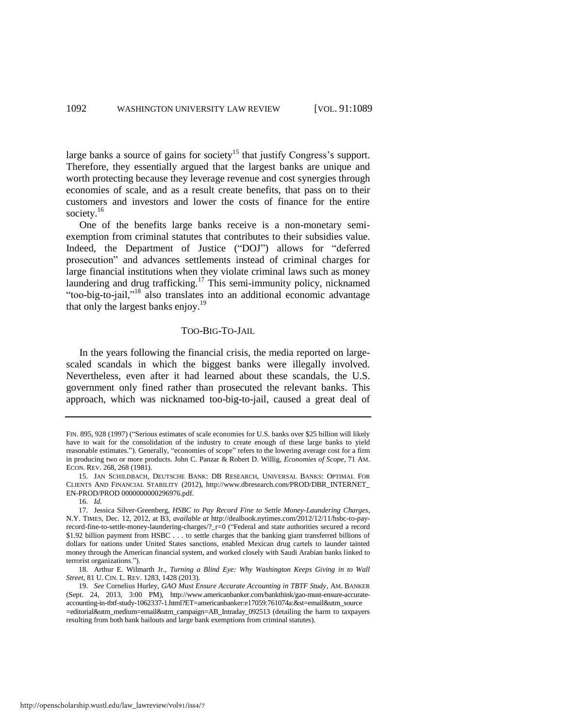large banks a source of gains for society<sup>15</sup> that justify Congress's support. Therefore, they essentially argued that the largest banks are unique and worth protecting because they leverage revenue and cost synergies through economies of scale, and as a result create benefits, that pass on to their customers and investors and lower the costs of finance for the entire society.<sup>16</sup>

One of the benefits large banks receive is a non-monetary semiexemption from criminal statutes that contributes to their subsidies value. Indeed, the Department of Justice ("DOJ") allows for "deferred prosecution" and advances settlements instead of criminal charges for large financial institutions when they violate criminal laws such as money laundering and drug trafficking.<sup>17</sup> This semi-immunity policy, nicknamed "too-big-to-jail,"<sup>18</sup> also translates into an additional economic advantage that only the largest banks enjoy.<sup>19</sup>

#### TOO-BIG-TO-JAIL

In the years following the financial crisis, the media reported on largescaled scandals in which the biggest banks were illegally involved. Nevertheless, even after it had learned about these scandals, the U.S. government only fined rather than prosecuted the relevant banks. This approach, which was nicknamed too-big-to-jail, caused a great deal of

FIN. 895, 928 (1997) ("Serious estimates of scale economies for U.S. banks over \$25 billion will likely have to wait for the consolidation of the industry to create enough of these large banks to yield reasonable estimates."). Generally, "economies of scope" refers to the lowering average cost for a firm in producing two or more products. John C. Panzar & Robert D. Willig, *Economies of Scope*, 71 AM. ECON. REV. 268, 268 (1981).

<sup>15.</sup> JAN SCHILDBACH, DEUTSCHE BANK: DB RESEARCH, UNIVERSAL BANKS: OPTIMAL FOR CLIENTS AND FINANCIAL STABILITY (2012), http://www.dbresearch.com/PROD/DBR\_INTERNET\_ EN-PROD/PROD 0000000000296976.pdf.

<sup>16.</sup> *Id.*

<sup>17.</sup> Jessica Silver-Greenberg, *HSBC to Pay Record Fine to Settle Money-Laundering Charges*, N.Y. TIMES, Dec. 12, 2012, at B3, *available at* http://dealbook.nytimes.com/2012/12/11/hsbc-to-payrecord-fine-to-settle-money-laundering-charges/?\_r=0 ("Federal and state authorities secured a record \$1.92 billion payment from HSBC . . . to settle charges that the banking giant transferred billions of dollars for nations under United States sanctions, enabled Mexican drug cartels to launder tainted money through the American financial system, and worked closely with Saudi Arabian banks linked to terrorist organizations.").

<sup>18.</sup> Arthur E. Wilmarth Jr., *Turning a Blind Eye: Why Washington Keeps Giving in to Wall Street*, 81 U. CIN. L. REV. 1283, 1428 (2013).

<sup>19.</sup> *See* Cornelius Hurley, *GAO Must Ensure Accurate Accounting in TBTF Study*, AM. BANKER (Sept. 24, 2013, 3:00 PM), http://www.americanbanker.com/bankthink/gao-must-ensure-accurateaccounting-in-tbtf-study-1062337-1.html?ET=americanbanker:e17059:761074a:&st=email&utm\_source =editorial&utm\_medium=email&utm\_campaign=AB\_Intraday\_092513 (detailing the harm to taxpayers resulting from both bank bailouts and large bank exemptions from criminal statutes).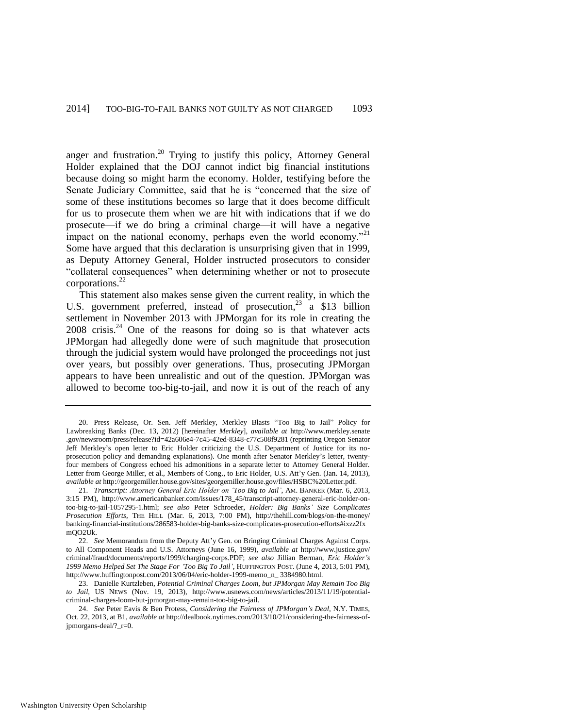<span id="page-5-1"></span>anger and frustration.<sup>20</sup> Trying to justify this policy, Attorney General Holder explained that the DOJ cannot indict big financial institutions because doing so might harm the economy. Holder, testifying before the Senate Judiciary Committee, said that he is "concerned that the size of some of these institutions becomes so large that it does become difficult for us to prosecute them when we are hit with indications that if we do prosecute—if we do bring a criminal charge—it will have a negative impact on the national economy, perhaps even the world economy.<sup>"21</sup> Some have argued that this declaration is unsurprising given that in 1999, as Deputy Attorney General, Holder instructed prosecutors to consider "collateral consequences" when determining whether or not to prosecute corporations.<sup>22</sup>

<span id="page-5-0"></span>This statement also makes sense given the current reality, in which the U.S. government preferred, instead of prosecution,  $23 \times 13$  billion settlement in November 2013 with JPMorgan for its role in creating the  $2008$  crisis.<sup>24</sup> One of the reasons for doing so is that whatever acts JPMorgan had allegedly done were of such magnitude that prosecution through the judicial system would have prolonged the proceedings not just over years, but possibly over generations. Thus, prosecuting JPMorgan appears to have been unrealistic and out of the question. JPMorgan was allowed to become too-big-to-jail, and now it is out of the reach of any

<sup>20.</sup> Press Release, Or. Sen. Jeff Merkley, Merkley Blasts "Too Big to Jail" Policy for Lawbreaking Banks (Dec. 13, 2012) [hereinafter *Merkley*], *available at* http://www.merkley.senate .gov/newsroom/press/release?id=42a606e4-7c45-42ed-8348-c77c508f9281 (reprinting Oregon Senator Jeff Merkley's open letter to Eric Holder criticizing the U.S. Department of Justice for its noprosecution policy and demanding explanations). One month after Senator Merkley's letter, twentyfour members of Congress echoed his admonitions in a separate letter to Attorney General Holder. Letter from George Miller, et al., Members of Cong., to Eric Holder, U.S. Att'y Gen. (Jan. 14, 2013), *available at* http://georgemiller.house.gov/sites/georgemiller.house.gov/files/HSBC%20Letter.pdf.

<sup>21.</sup> *Transcript: Attorney General Eric Holder on 'Too Big to Jail'*, AM. BANKER (Mar. 6, 2013, 3:15 PM), http://www.americanbanker.com/issues/178\_45/transcript-attorney-general-eric-holder-ontoo-big-to-jail-1057295-1.html; *see also* Peter Schroeder, *Holder: Big Banks' Size Complicates Prosecution Efforts*, THE HILL (Mar. 6, 2013, 7:00 PM), http://thehill.com/blogs/on-the-money/ banking-financial-institutions/286583-holder-big-banks-size-complicates-prosecution-efforts#ixzz2fx mQO2Uk.

<sup>22.</sup> *See* Memorandum from the Deputy Att'y Gen. on Bringing Criminal Charges Against Corps. to All Component Heads and U.S. Attorneys (June 16, 1999), *available at* http://www.justice.gov/ criminal/fraud/documents/reports/1999/charging-corps.PDF; *see also* Jillian Berman, *Eric Holder's 1999 Memo Helped Set The Stage For 'Too Big To Jail'*, HUFFINGTON POST. (June 4, 2013, 5:01 PM), http://www.huffingtonpost.com/2013/06/04/eric-holder-1999-memo\_n\_ 3384980.html.

<sup>23.</sup> Danielle Kurtzleben, *Potential Criminal Charges Loom, but JPMorgan May Remain Too Big to Jail*, US NEWS (Nov. 19, 2013), http://www.usnews.com/news/articles/2013/11/19/potentialcriminal-charges-loom-but-jpmorgan-may-remain-too-big-to-jail.

<sup>24.</sup> *See* Peter Eavis [& Ben Protess,](http://dealbook.nytimes.com/author/ben-protess/) *Considering the Fairness of JPMorgan's Deal*, N.Y. TIMES, Oct. 22, 2013, at B1, *available at* http://dealbook.nytimes.com/2013/10/21/considering-the-fairness-ofjpmorgans-deal/?\_r=0.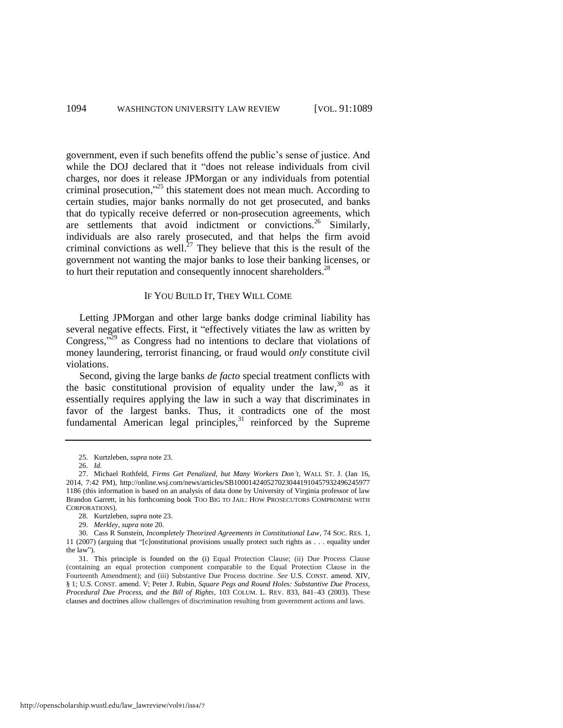government, even if such benefits offend the public's sense of justice. And while the DOJ declared that it "does not release individuals from civil charges, nor does it release JPMorgan or any individuals from potential criminal prosecution,"<sup>25</sup> this statement does not mean much. According to certain studies, major banks normally do not get prosecuted, and banks that do typically receive deferred or non-prosecution agreements, which are settlements that avoid indictment or convictions.<sup>26</sup> Similarly, individuals are also rarely prosecuted, and that helps the firm avoid criminal convictions as well.<sup>27</sup> They believe that this is the result of the government not wanting the major banks to lose their banking licenses, or to hurt their reputation and consequently innocent shareholders.<sup>28</sup>

#### IF YOU BUILD IT, THEY WILL COME

Letting JPMorgan and other large banks dodge criminal liability has several negative effects. First, it "effectively vitiates the law as written by Congress, $\frac{1}{2}$ <sup>29</sup> as Congress had no intentions to declare that violations of money laundering, terrorist financing, or fraud would *only* constitute civil violations.

Second, giving the large banks *de facto* special treatment conflicts with the basic constitutional provision of equality under the law,  $30$  as it essentially requires applying the law in such a way that discriminates in favor of the largest banks. Thus, it contradicts one of the most fundamental American legal principles, $31$  reinforced by the Supreme

<sup>25.</sup> Kurtzleben, *supra* note [23.](#page-5-0) 

<sup>26.</sup> *Id.*

<sup>27.</sup> Michael Rothfeld, *Firms Get Penalized, but Many Workers Don't*, WALL ST. J. (Jan 16, 2014, 7:42 PM), http://online.wsj.com/news/articles/SB1000142405270230441910457932496245977 1186 (this information is based on an analysis of data done by University of Virginia professor of law Brandon Garrett, in his forthcoming book TOO BIG TO JAIL: HOW PROSECUTORS COMPROMISE WITH CORPORATIONS).

<sup>28.</sup> Kurtzleben, *supra* note [23.](#page-5-0) 

<sup>29.</sup> *Merkley*, *supra* not[e 20.](#page-5-1) 

<sup>30.</sup> Cass R Sunstein, *Incompletely Theorized Agreements in Constitutional Law*, 74 SOC. RES. 1, 11 (2007) (arguing that "[c]onstitutional provisions usually protect such rights as . . . equality under the law").

<sup>31.</sup> This principle is founded on the (i) Equal Protection Clause; (ii) Due Process Clause (containing an equal protection component comparable to the Equal Protection Clause in the Fourteenth Amendment); and (iii) Substantive Due Process doctrine. *See* U.S. CONST. amend. XIV, § 1; U.S. CONST. amend. V; Peter J. Rubin, *Square Pegs and Round Holes: Substantive Due Process, Procedural Due Process, and the Bill of Rights*, 103 COLUM. L. REV. 833, 841–43 (2003). These clauses and doctrines allow challenges of discrimination resulting from government actions and laws.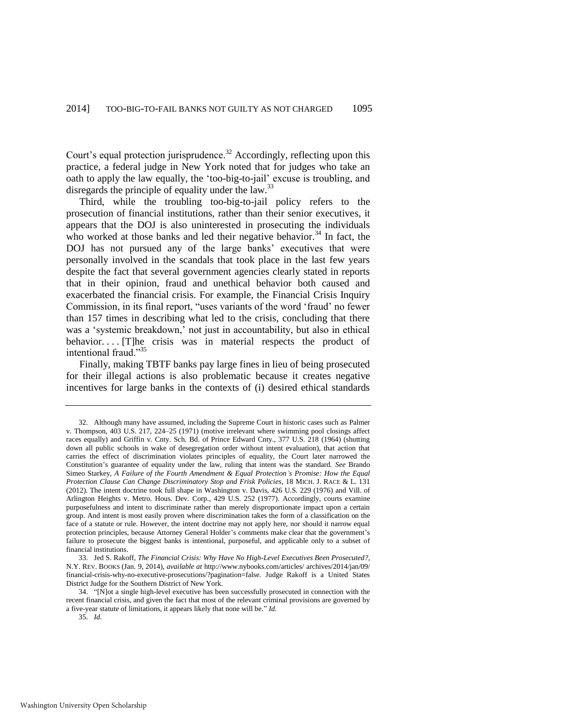Court's equal protection jurisprudence.<sup>32</sup> Accordingly, reflecting upon this practice, a federal judge in New York noted that for judges who take an oath to apply the law equally, the 'too-big-to-jail' excuse is troubling, and disregards the principle of equality under the law.<sup>33</sup>

<span id="page-7-0"></span>Third, while the troubling too-big-to-jail policy refers to the prosecution of financial institutions, rather than their senior executives, it appears that the DOJ is also uninterested in prosecuting the individuals who worked at those banks and led their negative behavior.<sup>34</sup> In fact, the DOJ has not pursued any of the large banks' executives that were personally involved in the scandals that took place in the last few years despite the fact that several government agencies clearly stated in reports that in their opinion, fraud and unethical behavior both caused and exacerbated the financial crisis. For example, the Financial Crisis Inquiry Commission, in its final report, "uses variants of the word 'fraud' no fewer than 157 times in describing what led to the crisis, concluding that there was a 'systemic breakdown,' not just in accountability, but also in ethical behavior.... The crisis was in material respects the product of intentional fraud."<sup>35</sup>

Finally, making TBTF banks pay large fines in lieu of being prosecuted for their illegal actions is also problematic because it creates negative incentives for large banks in the contexts of (i) desired ethical standards

<sup>32.</sup> Although many have assumed, including the Supreme Court in historic cases such as [Palmer](https://a.next.westlaw.com/Link/Document/FullText?findType=Y&serNum=1971127101&pubNum=0000708&originationContext=document&transitionType=DocumentItem&contextData=(sc.Search))  [v. Thompson, 403 U.S. 217, 224–25 \(1971\)](https://a.next.westlaw.com/Link/Document/FullText?findType=Y&serNum=1971127101&pubNum=0000708&originationContext=document&transitionType=DocumentItem&contextData=(sc.Search)) (motive irrelevant where swimming pool closings affect races equally) and Griffin v. Cnty. Sch. Bd. of Prince Edward Cnty., 377 U.S. 218 (1964) (shutting down all public schools in wake of desegregation order without intent evaluation), that action that carries the effect of discrimination violates principles of equality, the Court later narrowed the Constitution's guarantee of equality under the law, ruling that intent was the standard. *See* Brando Simeo Starkey*, A Failure of the Fourth Amendment & Equal Protection's Promise: How the Equal Protection Clause Can Change Discriminatory Stop and Frisk Policies*, 18 MICH. J. RACE & L. 131 (2012). The intent doctrine took full shape in [Washington v. Davis, 426 U.S. 229 \(1976\)](https://a.next.westlaw.com/Link/Document/FullText?findType=Y&serNum=1976142392&pubNum=780&originationContext=document&transitionType=DocumentItem&contextData=(sc.Search)) and [Vill. of](https://a.next.westlaw.com/Link/Document/FullText?findType=Y&serNum=1977118707&pubNum=780&originationContext=document&transitionType=DocumentItem&contextData=(sc.Search))  [Arlington Heights v. Metro. Hous. Dev. Corp., 429 U.S. 252 \(1977\).](https://a.next.westlaw.com/Link/Document/FullText?findType=Y&serNum=1977118707&pubNum=780&originationContext=document&transitionType=DocumentItem&contextData=(sc.Search)) Accordingly, courts examine purposefulness and intent to discriminate rather than merely disproportionate impact upon a certain group. And intent is most easily proven where discrimination takes the form of a classification on the face of a statute or rule. However, the intent doctrine may not apply here, nor should it narrow equal protection principles, because Attorney General Holder's comments make clear that the government's failure to prosecute the biggest banks is intentional, purposeful, and applicable only to a subset of financial institutions.

<sup>33.</sup> Jed S. Rakoff, *The Financial Crisis: Why Have No High-Level Executives Been Prosecuted?*, N.Y. REV. BOOKS (Jan. 9, 2014), *available at* http://www.nybooks.com/articles/ archives/2014/jan/09/ financial-crisis-why-no-executive-prosecutions/?pagination=false. Judge Rakoff is a United States District Judge for the Southern District of New York.

<sup>34. &</sup>quot;[N]ot a single high-level executive has been successfully prosecuted in connection with the recent financial crisis, and given the fact that most of the relevant criminal provisions are governed by a five-year statute of limitations, it appears likely that none will be." *Id.*

<sup>35.</sup> *Id.*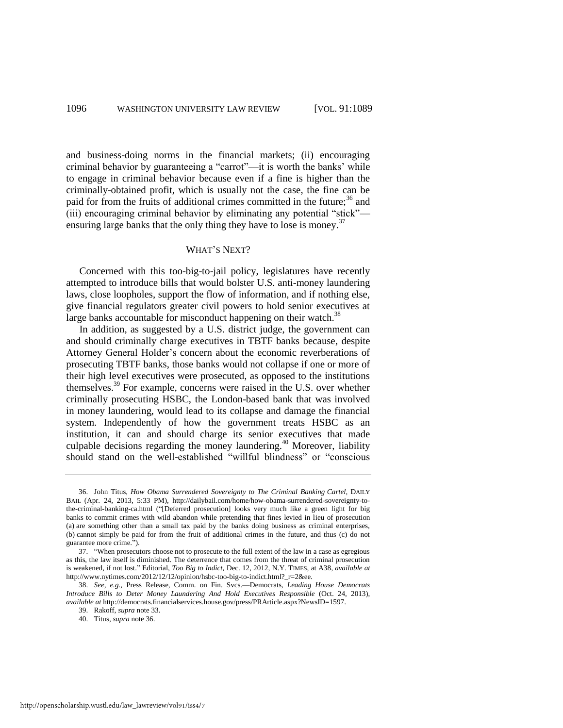and business-doing norms in the financial markets; (ii) encouraging criminal behavior by guaranteeing a "carrot"—it is worth the banks' while to engage in criminal behavior because even if a fine is higher than the criminally-obtained profit, which is usually not the case, the fine can be paid for from the fruits of additional crimes committed in the future;<sup>36</sup> and (iii) encouraging criminal behavior by eliminating any potential "stick" ensuring large banks that the only thing they have to lose is money.<sup>37</sup>

#### <span id="page-8-0"></span>WHAT'S NEXT?

Concerned with this too-big-to-jail policy, legislatures have recently attempted to introduce bills that would bolster U.S. anti-money laundering laws, close loopholes, support the flow of information, and if nothing else, give financial regulators greater civil powers to hold senior executives at large banks accountable for misconduct happening on their watch.<sup>38</sup>

In addition, as suggested by a U.S. district judge, the government can and should criminally charge executives in TBTF banks because, despite Attorney General Holder's concern about the economic reverberations of prosecuting TBTF banks, those banks would not collapse if one or more of their high level executives were prosecuted, as opposed to the institutions themselves.<sup>39</sup> For example, concerns were raised in the U.S. over whether criminally prosecuting HSBC, the London-based bank that was involved in money laundering, would lead to its collapse and damage the financial system. Independently of how the government treats HSBC as an institution, it can and should charge its senior executives that made culpable decisions regarding the money laundering.<sup>40</sup> Moreover, liability should stand on the well-established "willful blindness" or "conscious

38. *See, e.g.*, Press Release, Comm. on Fin. Svcs.—Democrats, *Leading House Democrats Introduce Bills to Deter Money Laundering And Hold Executives Responsible* (Oct. 24, 2013), *available at* http://democrats.financialservices.house.gov/press/PRArticle.aspx?NewsID=1597.

39. Rakoff, *supra* not[e 33.](#page-7-0) 

<sup>36.</sup> John Titus, *How Obama Surrendered Sovereignty to The Criminal Banking Cartel*, DAILY BAIL (Apr. 24, 2013, 5:33 PM), http://dailybail.com/home/how-obama-surrendered-sovereignty-tothe-criminal-banking-ca.html ("[Deferred prosecution] looks very much like a green light for big banks to commit crimes with wild abandon while pretending that fines levied in lieu of prosecution (a) are something other than a small tax paid by the banks doing business as criminal enterprises, (b) cannot simply be paid for from the fruit of additional crimes in the future, and thus (c) do not guarantee more crime.").

<sup>37. &</sup>quot;When prosecutors choose not to prosecute to the full extent of the law in a case as egregious as this, the law itself is diminished. The deterrence that comes from the threat of criminal prosecution is weakened, if not lost." Editorial, *Too Big to Indict*, Dec. 12, 2012, N.Y. TIMES, at A38, *available at* http://www.nytimes.com/2012/12/12/opinion/hsbc-too-big-to-indict.html?\_r=2&ee.

<sup>40.</sup> Titus, *supra* not[e 36.](#page-8-0)